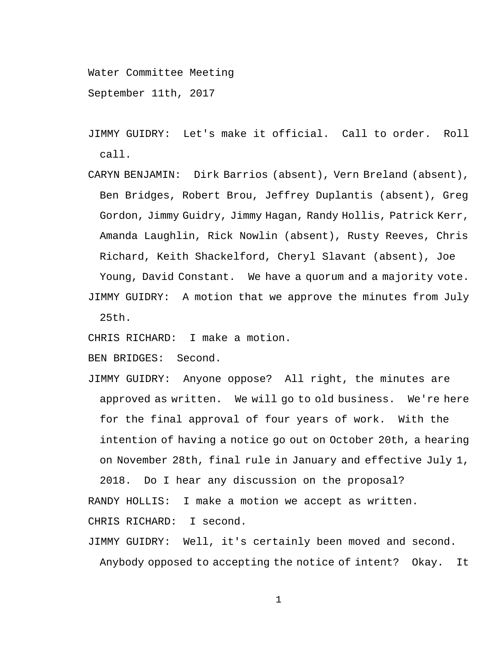Water Committee Meeting

September 11th, 2017

- JIMMY GUIDRY: Let's make it official. Call to order. Roll call.
- CARYN BENJAMIN: Dirk Barrios (absent), Vern Breland (absent), Ben Bridges, Robert Brou, Jeffrey Duplantis (absent), Greg Gordon, Jimmy Guidry, Jimmy Hagan, Randy Hollis, Patrick Kerr, Amanda Laughlin, Rick Nowlin (absent), Rusty Reeves, Chris Richard, Keith Shackelford, Cheryl Slavant (absent), Joe Young, David Constant. We have a quorum and a majority vote. JIMMY GUIDRY: A motion that we approve the minutes from July 25th.

CHRIS RICHARD: I make a motion.

BEN BRIDGES: Second.

JIMMY GUIDRY: Anyone oppose? All right, the minutes are approved as written. We will go to old business. We're here for the final approval of four years of work. With the intention of having a notice go out on October 20th, a hearing on November 28th, final rule in January and effective July 1,

2018. Do I hear any discussion on the proposal? RANDY HOLLIS: I make a motion we accept as written. CHRIS RICHARD: I second.

JIMMY GUIDRY: Well, it's certainly been moved and second. Anybody opposed to accepting the notice of intent? Okay. It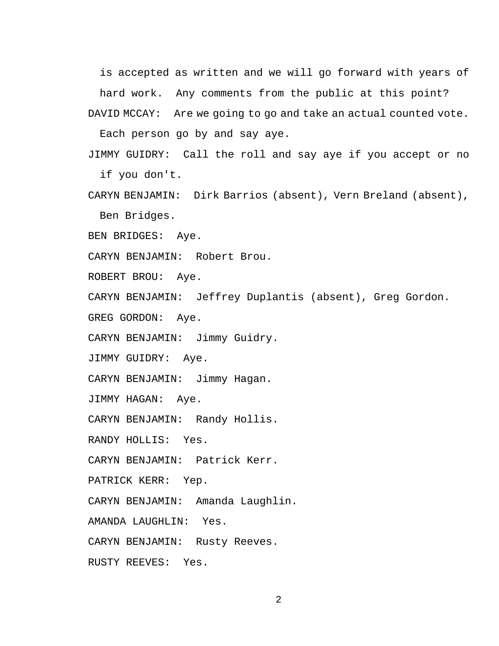is accepted as written and we will go forward with years of hard work. Any comments from the public at this point?

DAVID MCCAY: Are we going to go and take an actual counted vote.

Each person go by and say aye.

- JIMMY GUIDRY: Call the roll and say aye if you accept or no if you don't.
- CARYN BENJAMIN: Dirk Barrios (absent), Vern Breland (absent), Ben Bridges.
- BEN BRIDGES: Aye.

CARYN BENJAMIN: Robert Brou.

ROBERT BROU: Aye.

CARYN BENJAMIN: Jeffrey Duplantis (absent), Greg Gordon.

GREG GORDON: Aye.

CARYN BENJAMIN: Jimmy Guidry.

JIMMY GUIDRY: Aye.

CARYN BENJAMIN: Jimmy Hagan.

JIMMY HAGAN: Aye.

CARYN BENJAMIN: Randy Hollis.

RANDY HOLLIS: Yes.

CARYN BENJAMIN: Patrick Kerr.

PATRICK KERR: Yep.

CARYN BENJAMIN: Amanda Laughlin.

AMANDA LAUGHLIN: Yes.

CARYN BENJAMIN: Rusty Reeves.

RUSTY REEVES: Yes.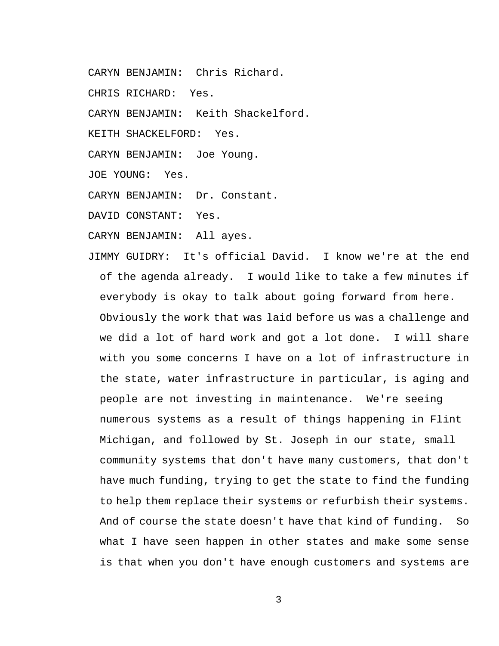- CARYN BENJAMIN: Chris Richard.
- CHRIS RICHARD: Yes.
- CARYN BENJAMIN: Keith Shackelford.
- KEITH SHACKELFORD: Yes.
- CARYN BENJAMIN: Joe Young.
- JOE YOUNG: Yes.
- CARYN BENJAMIN: Dr. Constant.
- DAVID CONSTANT: Yes.
- CARYN BENJAMIN: All ayes.
- JIMMY GUIDRY: It's official David. I know we're at the end of the agenda already. I would like to take a few minutes if everybody is okay to talk about going forward from here. Obviously the work that was laid before us was a challenge and we did a lot of hard work and got a lot done. I will share with you some concerns I have on a lot of infrastructure in the state, water infrastructure in particular, is aging and people are not investing in maintenance. We're seeing numerous systems as a result of things happening in Flint Michigan, and followed by St. Joseph in our state, small community systems that don't have many customers, that don't have much funding, trying to get the state to find the funding to help them replace their systems or refurbish their systems. And of course the state doesn't have that kind of funding. So what I have seen happen in other states and make some sense is that when you don't have enough customers and systems are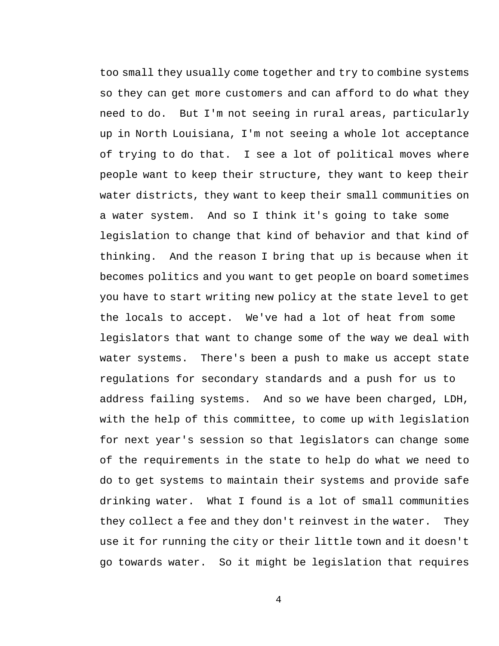too small they usually come together and try to combine systems so they can get more customers and can afford to do what they need to do. But I'm not seeing in rural areas, particularly up in North Louisiana, I'm not seeing a whole lot acceptance of trying to do that. I see a lot of political moves where people want to keep their structure, they want to keep their water districts, they want to keep their small communities on a water system. And so I think it's going to take some legislation to change that kind of behavior and that kind of thinking. And the reason I bring that up is because when it becomes politics and you want to get people on board sometimes you have to start writing new policy at the state level to get the locals to accept. We've had a lot of heat from some legislators that want to change some of the way we deal with water systems. There's been a push to make us accept state regulations for secondary standards and a push for us to address failing systems. And so we have been charged, LDH, with the help of this committee, to come up with legislation for next year's session so that legislators can change some of the requirements in the state to help do what we need to do to get systems to maintain their systems and provide safe drinking water. What I found is a lot of small communities they collect a fee and they don't reinvest in the water. They use it for running the city or their little town and it doesn't go towards water. So it might be legislation that requires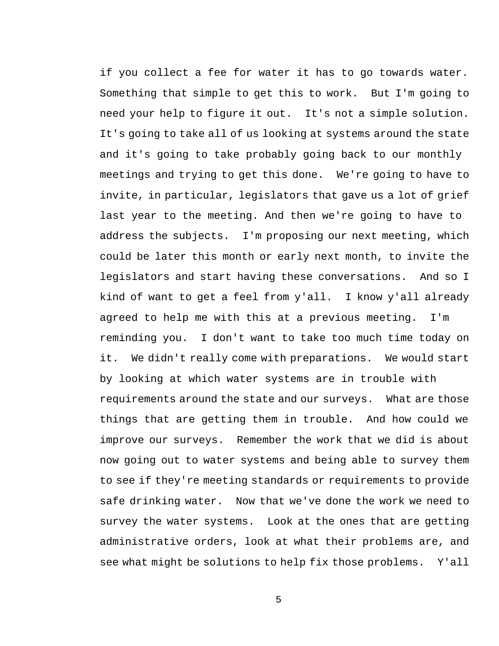if you collect a fee for water it has to go towards water. Something that simple to get this to work. But I'm going to need your help to figure it out. It's not a simple solution. It's going to take all of us looking at systems around the state and it's going to take probably going back to our monthly meetings and trying to get this done. We're going to have to invite, in particular, legislators that gave us a lot of grief last year to the meeting. And then we're going to have to address the subjects. I'm proposing our next meeting, which could be later this month or early next month, to invite the legislators and start having these conversations. And so I kind of want to get a feel from y'all. I know y'all already agreed to help me with this at a previous meeting. I'm reminding you. I don't want to take too much time today on it. We didn't really come with preparations. We would start by looking at which water systems are in trouble with requirements around the state and our surveys. What are those things that are getting them in trouble. And how could we improve our surveys. Remember the work that we did is about now going out to water systems and being able to survey them to see if they're meeting standards or requirements to provide safe drinking water. Now that we've done the work we need to survey the water systems. Look at the ones that are getting administrative orders, look at what their problems are, and see what might be solutions to help fix those problems. Y'all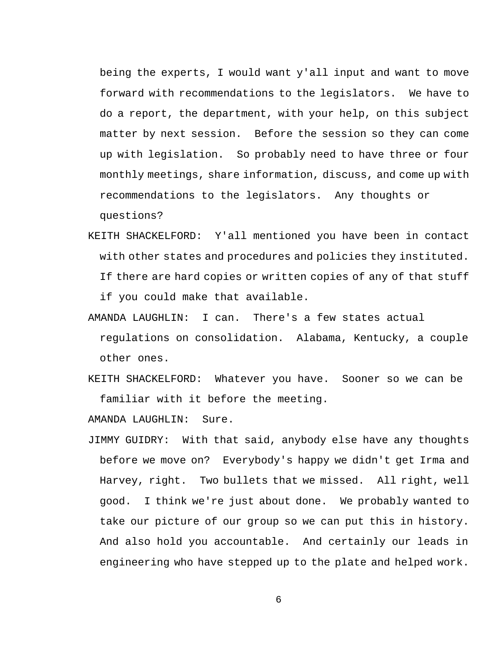being the experts, I would want y'all input and want to move forward with recommendations to the legislators. We have to do a report, the department, with your help, on this subject matter by next session. Before the session so they can come up with legislation. So probably need to have three or four monthly meetings, share information, discuss, and come up with recommendations to the legislators. Any thoughts or

questions?

- KEITH SHACKELFORD: Y'all mentioned you have been in contact with other states and procedures and policies they instituted. If there are hard copies or written copies of any of that stuff if you could make that available.
- AMANDA LAUGHLIN: I can. There's a few states actual regulations on consolidation. Alabama, Kentucky, a couple other ones.
- KEITH SHACKELFORD: Whatever you have. Sooner so we can be familiar with it before the meeting.

AMANDA LAUGHLIN: Sure.

JIMMY GUIDRY: With that said, anybody else have any thoughts before we move on? Everybody's happy we didn't get Irma and Harvey, right. Two bullets that we missed. All right, well good. I think we're just about done. We probably wanted to take our picture of our group so we can put this in history. And also hold you accountable. And certainly our leads in engineering who have stepped up to the plate and helped work.